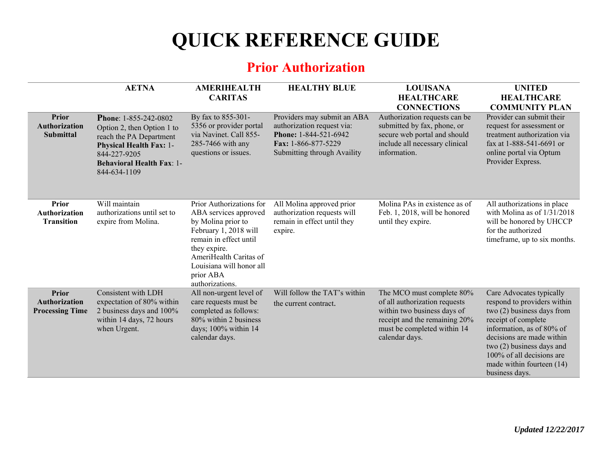## **QUICK REFERENCE GUIDE**

## **Prior Authorization**

|                                                           | <b>AETNA</b>                                                                                                                                                                         | <b>AMERIHEALTH</b><br><b>CARITAS</b>                                                                                                                                                                                             | <b>HEALTHY BLUE</b>                                                                                                                             | <b>LOUISANA</b><br><b>HEALTHCARE</b><br><b>CONNECTIONS</b>                                                                                                                  | <b>UNITED</b><br><b>HEALTHCARE</b><br><b>COMMUNITY PLAN</b>                                                                                                                                                                                                                       |
|-----------------------------------------------------------|--------------------------------------------------------------------------------------------------------------------------------------------------------------------------------------|----------------------------------------------------------------------------------------------------------------------------------------------------------------------------------------------------------------------------------|-------------------------------------------------------------------------------------------------------------------------------------------------|-----------------------------------------------------------------------------------------------------------------------------------------------------------------------------|-----------------------------------------------------------------------------------------------------------------------------------------------------------------------------------------------------------------------------------------------------------------------------------|
| <b>Prior</b><br><b>Authorization</b><br><b>Submittal</b>  | Phone: 1-855-242-0802<br>Option 2, then Option 1 to<br>reach the PA Department<br><b>Physical Health Fax: 1-</b><br>844-227-9205<br><b>Behavioral Health Fax: 1-</b><br>844-634-1109 | By fax to 855-301-<br>5356 or provider portal<br>via Navinet. Call 855-<br>285-7466 with any<br>questions or issues.                                                                                                             | Providers may submit an ABA<br>authorization request via:<br><b>Phone: 1-844-521-6942</b><br>Fax: 1-866-877-5229<br>Submitting through Availity | Authorization requests can be<br>submitted by fax, phone, or<br>secure web portal and should<br>include all necessary clinical<br>information.                              | Provider can submit their<br>request for assessment or<br>treatment authorization via<br>fax at 1-888-541-6691 or<br>online portal via Optum<br>Provider Express.                                                                                                                 |
| <b>Prior</b><br><b>Authorization</b><br><b>Transition</b> | Will maintain<br>authorizations until set to<br>expire from Molina.                                                                                                                  | Prior Authorizations for<br>ABA services approved<br>by Molina prior to<br>February 1, 2018 will<br>remain in effect until<br>they expire.<br>AmeriHealth Caritas of<br>Louisiana will honor all<br>prior ABA<br>authorizations. | All Molina approved prior<br>authorization requests will<br>remain in effect until they<br>expire.                                              | Molina PAs in existence as of<br>Feb. 1, 2018, will be honored<br>until they expire.                                                                                        | All authorizations in place<br>with Molina as of $1/31/2018$<br>will be honored by UHCCP<br>for the authorized<br>timeframe, up to six months.                                                                                                                                    |
| Prior<br><b>Authorization</b><br><b>Processing Time</b>   | Consistent with LDH<br>expectation of 80% within<br>2 business days and 100%<br>within 14 days, 72 hours<br>when Urgent.                                                             | All non-urgent level of<br>care requests must be<br>completed as follows:<br>80% within 2 business<br>days; 100% within 14<br>calendar days.                                                                                     | Will follow the TAT's within<br>the current contract.                                                                                           | The MCO must complete 80%<br>of all authorization requests<br>within two business days of<br>receipt and the remaining 20%<br>must be completed within 14<br>calendar days. | Care Advocates typically<br>respond to providers within<br>two (2) business days from<br>receipt of complete<br>information, as of 80% of<br>decisions are made within<br>two $(2)$ business days and<br>100% of all decisions are<br>made within fourteen (14)<br>business days. |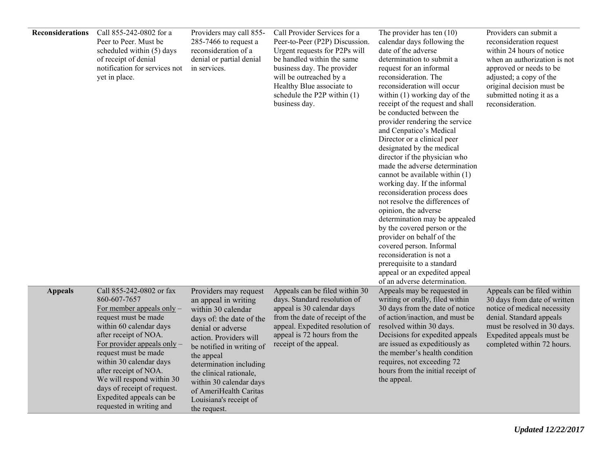| Reconsiderations | Call 855-242-0802 for a<br>Peer to Peer. Must be<br>scheduled within (5) days<br>of receipt of denial<br>notification for services not<br>yet in place.                                                                                                                                                                                                                              | Providers may call 855-<br>285-7466 to request a<br>reconsideration of a<br>denial or partial denial<br>in services.                                                                                                                                                                                                                           | Call Provider Services for a<br>Peer-to-Peer (P2P) Discussion.<br>Urgent requests for P2Ps will<br>be handled within the same<br>business day. The provider<br>will be outreached by a<br>Healthy Blue associate to<br>schedule the P2P within $(1)$<br>business day. | The provider has ten $(10)$<br>calendar days following the<br>date of the adverse<br>determination to submit a<br>request for an informal<br>reconsideration. The<br>reconsideration will occur<br>within (1) working day of the<br>receipt of the request and shall<br>be conducted between the<br>provider rendering the service<br>and Cenpatico's Medical<br>Director or a clinical peer<br>designated by the medical<br>director if the physician who<br>made the adverse determination<br>cannot be available within (1)<br>working day. If the informal<br>reconsideration process does<br>not resolve the differences of<br>opinion, the adverse<br>determination may be appealed<br>by the covered person or the<br>provider on behalf of the<br>covered person. Informal<br>reconsideration is not a<br>prerequisite to a standard<br>appeal or an expedited appeal<br>of an adverse determination. | Providers can submit a<br>reconsideration request<br>within 24 hours of notice<br>when an authorization is not<br>approved or needs to be<br>adjusted; a copy of the<br>original decision must be<br>submitted noting it as a<br>reconsideration. |
|------------------|--------------------------------------------------------------------------------------------------------------------------------------------------------------------------------------------------------------------------------------------------------------------------------------------------------------------------------------------------------------------------------------|------------------------------------------------------------------------------------------------------------------------------------------------------------------------------------------------------------------------------------------------------------------------------------------------------------------------------------------------|-----------------------------------------------------------------------------------------------------------------------------------------------------------------------------------------------------------------------------------------------------------------------|---------------------------------------------------------------------------------------------------------------------------------------------------------------------------------------------------------------------------------------------------------------------------------------------------------------------------------------------------------------------------------------------------------------------------------------------------------------------------------------------------------------------------------------------------------------------------------------------------------------------------------------------------------------------------------------------------------------------------------------------------------------------------------------------------------------------------------------------------------------------------------------------------------------|---------------------------------------------------------------------------------------------------------------------------------------------------------------------------------------------------------------------------------------------------|
| <b>Appeals</b>   | Call 855-242-0802 or fax<br>860-607-7657<br>For member appeals only $-$<br>request must be made<br>within 60 calendar days<br>after receipt of NOA.<br>For provider appeals only $-$<br>request must be made<br>within 30 calendar days<br>after receipt of NOA.<br>We will respond within 30<br>days of receipt of request.<br>Expedited appeals can be<br>requested in writing and | Providers may request<br>an appeal in writing<br>within 30 calendar<br>days of: the date of the<br>denial or adverse<br>action. Providers will<br>be notified in writing of<br>the appeal<br>determination including<br>the clinical rationale,<br>within 30 calendar days<br>of AmeriHealth Caritas<br>Louisiana's receipt of<br>the request. | Appeals can be filed within 30<br>days. Standard resolution of<br>appeal is 30 calendar days<br>from the date of receipt of the<br>appeal. Expedited resolution of<br>appeal is 72 hours from the<br>receipt of the appeal.                                           | Appeals may be requested in<br>writing or orally, filed within<br>30 days from the date of notice<br>of action/inaction, and must be<br>resolved within 30 days.<br>Decisions for expedited appeals<br>are issued as expeditiously as<br>the member's health condition<br>requires, not exceeding 72<br>hours from the initial receipt of<br>the appeal.                                                                                                                                                                                                                                                                                                                                                                                                                                                                                                                                                      | Appeals can be filed within<br>30 days from date of written<br>notice of medical necessity<br>denial. Standard appeals<br>must be resolved in 30 days.<br>Expedited appeals must be<br>completed within 72 hours.                                 |